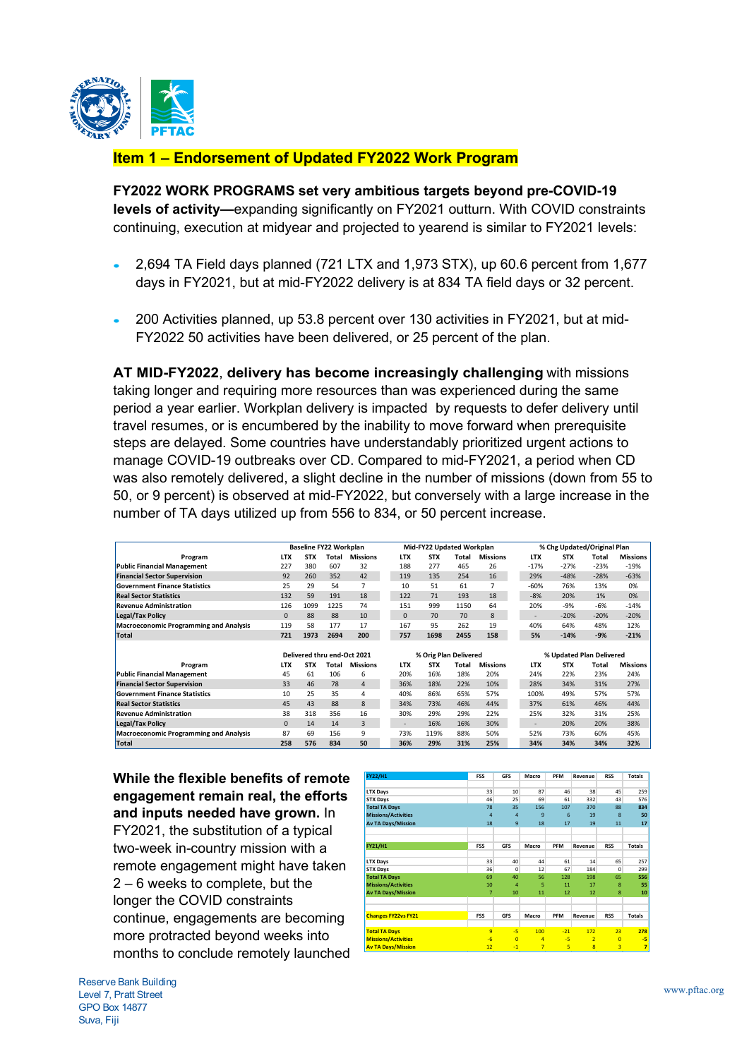

# **Item 1 – Endorsement of Updated FY2022 Work Program**

**FY2022 WORK PROGRAMS set very ambitious targets beyond pre-COVID-19 levels of activity—**expanding significantly on FY2021 outturn. With COVID constraints continuing, execution at midyear and projected to yearend is similar to FY2021 levels:

- 2,694 TA Field days planned (721 LTX and 1,973 STX), up 60.6 percent from 1,677 days in FY2021, but at mid-FY2022 delivery is at 834 TA field days or 32 percent.
- 200 Activities planned, up 53.8 percent over 130 activities in FY2021, but at mid-FY2022 50 activities have been delivered, or 25 percent of the plan.

**AT MID-FY2022**, **delivery has become increasingly challenging** with missions taking longer and requiring more resources than was experienced during the same period a year earlier. Workplan delivery is impacted by requests to defer delivery until travel resumes, or is encumbered by the inability to move forward when prerequisite steps are delayed. Some countries have understandably prioritized urgent actions to manage COVID-19 outbreaks over CD. Compared to mid-FY2021, a period when CD was also remotely delivered, a slight decline in the number of missions (down from 55 to 50, or 9 percent) is observed at mid-FY2022, but conversely with a large increase in the number of TA days utilized up from 556 to 834, or 50 percent increase.

|                                               | Baseline FY22 Workplan |                             |       | Mid-FY22 Updated Workplan |                       |            |       | % Chg Updated/Original Plan |  |                          |            |        |                 |
|-----------------------------------------------|------------------------|-----------------------------|-------|---------------------------|-----------------------|------------|-------|-----------------------------|--|--------------------------|------------|--------|-----------------|
| Program                                       | <b>LTX</b>             | STX                         | Total | <b>Missions</b>           | <b>LTX</b>            | <b>STX</b> | Total | <b>Missions</b>             |  | <b>LTX</b>               | <b>STX</b> | Total  | <b>Missions</b> |
| <b>Public Financial Management</b>            | 227                    | 380                         | 607   | 32                        | 188                   | 277        | 465   | 26                          |  | $-17%$                   | $-27%$     | $-23%$ | $-19%$          |
| <b>Financial Sector Supervision</b>           | 92                     | 260                         | 352   | 42                        | 119                   | 135        | 254   | 16                          |  | 29%                      | $-48%$     | $-28%$ | $-63%$          |
| <b>Government Finance Statistics</b>          | 25                     | 29                          | 54    | $\overline{7}$            | 10                    | 51         | 61    | $\overline{7}$              |  | $-60%$                   | 76%        | 13%    | 0%              |
| <b>Real Sector Statistics</b>                 | 132                    | 59                          | 191   | 18                        | 122                   | 71         | 193   | 18                          |  | $-8%$                    | 20%        | 1%     | 0%              |
| <b>Revenue Administration</b>                 | 126                    | 1099                        | 1225  | 74                        | 151                   | 999        | 1150  | 64                          |  | 20%                      | -9%        | $-6%$  | $-14%$          |
| <b>Legal/Tax Policy</b>                       | $\mathbf{0}$           | 88                          | 88    | 10                        | $\mathbf 0$           | 70         | 70    | 8                           |  | $\overline{\phantom{a}}$ | $-20%$     | $-20%$ | $-20%$          |
| <b>Macroeconomic Programming and Analysis</b> | 119                    | 58                          | 177   | 17                        | 167                   | 95         | 262   | 19                          |  | 40%                      | 64%        | 48%    | 12%             |
| Total                                         | 721                    | 1973                        | 2694  | 200                       | 757                   | 1698       | 2455  | 158                         |  | 5%                       | $-14%$     | $-9%$  | $-21%$          |
|                                               |                        |                             |       |                           |                       |            |       |                             |  |                          |            |        |                 |
|                                               |                        | Delivered thru end-Oct 2021 |       |                           | % Orig Plan Delivered |            |       |                             |  | % Updated Plan Delivered |            |        |                 |
| Program                                       | <b>LTX</b>             | STX                         | Total | <b>Missions</b>           | <b>LTX</b>            | <b>STX</b> | Total | <b>Missions</b>             |  | <b>LTX</b>               | <b>STX</b> | Total  | <b>Missions</b> |
| <b>Public Financial Management</b>            | 45                     | 61                          | 106   | 6                         | 20%                   | 16%        | 18%   | 20%                         |  | 24%                      | 22%        | 23%    | 24%             |
| <b>Financial Sector Supervision</b>           | 33                     | 46                          | 78    | $\overline{4}$            | 36%                   | 18%        | 22%   | 10%                         |  | 28%                      | 34%        | 31%    | 27%             |
| <b>Government Finance Statistics</b>          | 10                     | 25                          | 35    | 4                         | 40%                   | 86%        | 65%   | 57%                         |  | 100%                     | 49%        | 57%    | 57%             |
| <b>Real Sector Statistics</b>                 | 45                     | 43                          | 88    | 8                         | 34%                   | 73%        | 46%   | 44%                         |  | 37%                      | 61%        | 46%    | 44%             |
| <b>Revenue Administration</b>                 | 38                     | 318                         | 356   | 16                        | 30%                   | 29%        | 29%   | 22%                         |  | 25%                      | 32%        | 31%    | 25%             |
| <b>Legal/Tax Policy</b>                       | $\mathbf{0}$           | 14                          | 14    | 3                         | $\sim$                | 16%        | 16%   | 30%                         |  | ۰                        | 20%        | 20%    | 38%             |
| <b>Macroeconomic Programming and Analysis</b> | 87                     | 69                          | 156   | 9                         | 73%                   | 119%       | 88%   | 50%                         |  | 52%                      | 73%        | 60%    | 45%             |
| Total                                         | 258                    | 576                         | 834   | 50                        | 36%                   | 29%        | 31%   | 25%                         |  | 34%                      | 34%        | 34%    | 32%             |

**While the flexible benefits of remote engagement remain real, the efforts and inputs needed have grown.** In FY2021, the substitution of a typical two-week in-country mission with a remote engagement might have taken 2 – 6 weeks to complete, but the longer the COVID constraints continue, engagements are becoming more protracted beyond weeks into months to conclude remotely launched

| FY22/H1                    | <b>FSS</b>     | <b>GFS</b>     | Macro          | PFM   | Revenue                 | <b>RSS</b> | <b>Totals</b>  |
|----------------------------|----------------|----------------|----------------|-------|-------------------------|------------|----------------|
|                            |                |                |                |       |                         |            |                |
| <b>LTX Days</b>            | 33             | 10             | 87             | 46    | 38                      | 45         | 259            |
| <b>STX Days</b>            | 46             | 25             | 69             | 61    | 332                     | 43         | 576            |
| <b>Total TA Days</b>       | 78             | 35             | 156            | 107   | 370                     | 88         | 834            |
| <b>Missions/Activities</b> | $\overline{a}$ | $\overline{a}$ | 9              | 6     | 19                      | 8          | 50             |
| <b>Av TA Days/Mission</b>  | 18             | 9              | 18             | 17    | 19                      | 11         | 17             |
|                            |                |                |                |       |                         |            |                |
|                            |                |                |                |       |                         |            |                |
| FY21/H1                    | <b>FSS</b>     | <b>GFS</b>     | Macro          | PFM   | Revenue                 | <b>RSS</b> | <b>Totals</b>  |
|                            |                |                |                |       |                         |            |                |
| <b>LTX Days</b>            | 33             | 40             | 44             | 61    | 14                      | 65         | 257            |
| <b>STX Days</b>            | 36             | 0              | 12             | 67    | 184                     | 0          | 299            |
| <b>Total TA Days</b>       | 69             | 40             | 56             | 128   | 198                     | 65         | 556            |
| <b>Missions/Activities</b> | 10             | 4              | 5              | 11    | 17                      | 8          | 55             |
| <b>Av TA Days/Mission</b>  | 7              | 10             | 11             | 12    | 12                      | 8          | 10             |
|                            |                |                |                |       |                         |            |                |
|                            |                |                |                |       |                         |            |                |
| <b>Changes FY22vs FY21</b> | <b>FSS</b>     | <b>GFS</b>     | Macro          | PFM   | Revenue                 | <b>RSS</b> | Totals         |
|                            |                |                |                |       |                         |            |                |
| <b>Total TA Days</b>       | 9              | -5             | 100            | $-21$ | 172                     | 23         | 278            |
| <b>Missions/Activities</b> | $-6$           | $\overline{0}$ | 4              | -5    | $\overline{2}$          | $\Omega$   | -5             |
| <b>Av TA Days/Mission</b>  | 12             | $-1$           | $\overline{7}$ | 5     | $\overline{\mathbf{8}}$ | 3          | $\overline{7}$ |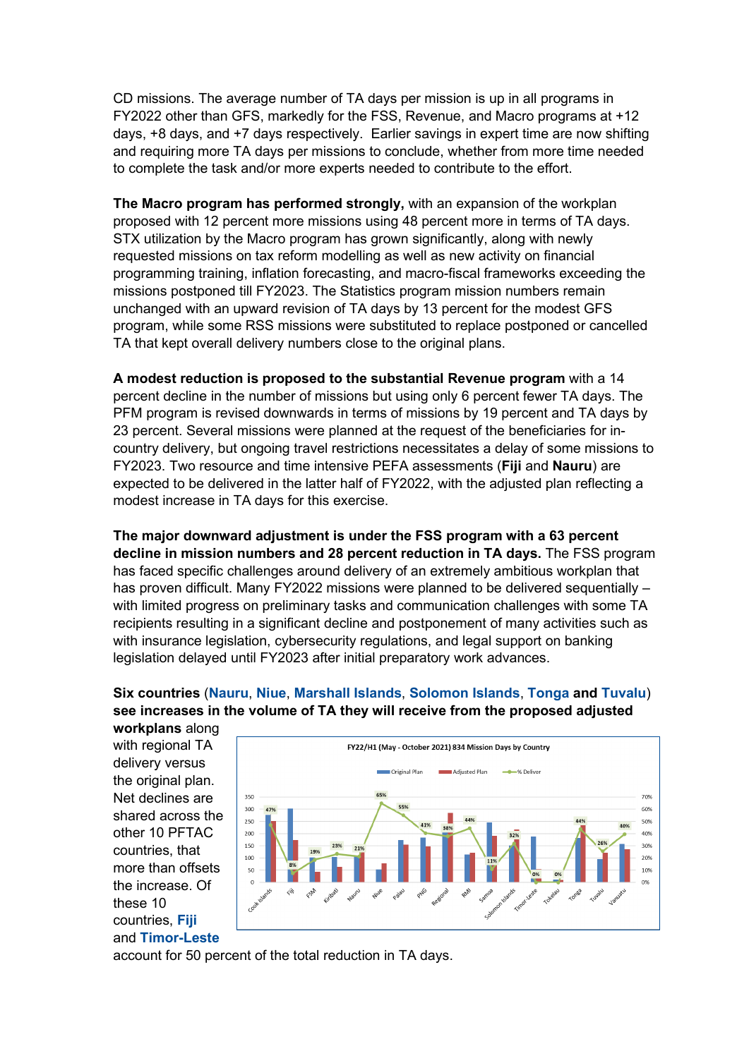CD missions. The average number of TA days per mission is up in all programs in FY2022 other than GFS, markedly for the FSS, Revenue, and Macro programs at +12 days, +8 days, and +7 days respectively. Earlier savings in expert time are now shifting and requiring more TA days per missions to conclude, whether from more time needed to complete the task and/or more experts needed to contribute to the effort.

**The Macro program has performed strongly,** with an expansion of the workplan proposed with 12 percent more missions using 48 percent more in terms of TA days. STX utilization by the Macro program has grown significantly, along with newly requested missions on tax reform modelling as well as new activity on financial programming training, inflation forecasting, and macro-fiscal frameworks exceeding the missions postponed till FY2023. The Statistics program mission numbers remain unchanged with an upward revision of TA days by 13 percent for the modest GFS program, while some RSS missions were substituted to replace postponed or cancelled TA that kept overall delivery numbers close to the original plans.

**A modest reduction is proposed to the substantial Revenue program** with a 14 percent decline in the number of missions but using only 6 percent fewer TA days. The PFM program is revised downwards in terms of missions by 19 percent and TA days by 23 percent. Several missions were planned at the request of the beneficiaries for incountry delivery, but ongoing travel restrictions necessitates a delay of some missions to FY2023. Two resource and time intensive PEFA assessments (**Fiji** and **Nauru**) are expected to be delivered in the latter half of FY2022, with the adjusted plan reflecting a modest increase in TA days for this exercise.

**The major downward adjustment is under the FSS program with a 63 percent decline in mission numbers and 28 percent reduction in TA days.** The FSS program has faced specific challenges around delivery of an extremely ambitious workplan that has proven difficult. Many FY2022 missions were planned to be delivered sequentially – with limited progress on preliminary tasks and communication challenges with some TA recipients resulting in a significant decline and postponement of many activities such as with insurance legislation, cybersecurity regulations, and legal support on banking legislation delayed until FY2023 after initial preparatory work advances.

# **Six countries** (**Nauru**, **Niue**, **Marshall Islands**, **Solomon Islands**, **Tonga and Tuvalu**) **see increases in the volume of TA they will receive from the proposed adjusted**

**workplans** along with regional TA delivery versus the original plan. Net declines are shared across the other 10 PFTAC countries, that more than offsets the increase. Of these 10 countries, **Fiji** and **Timor-Leste**



account for 50 percent of the total reduction in TA days.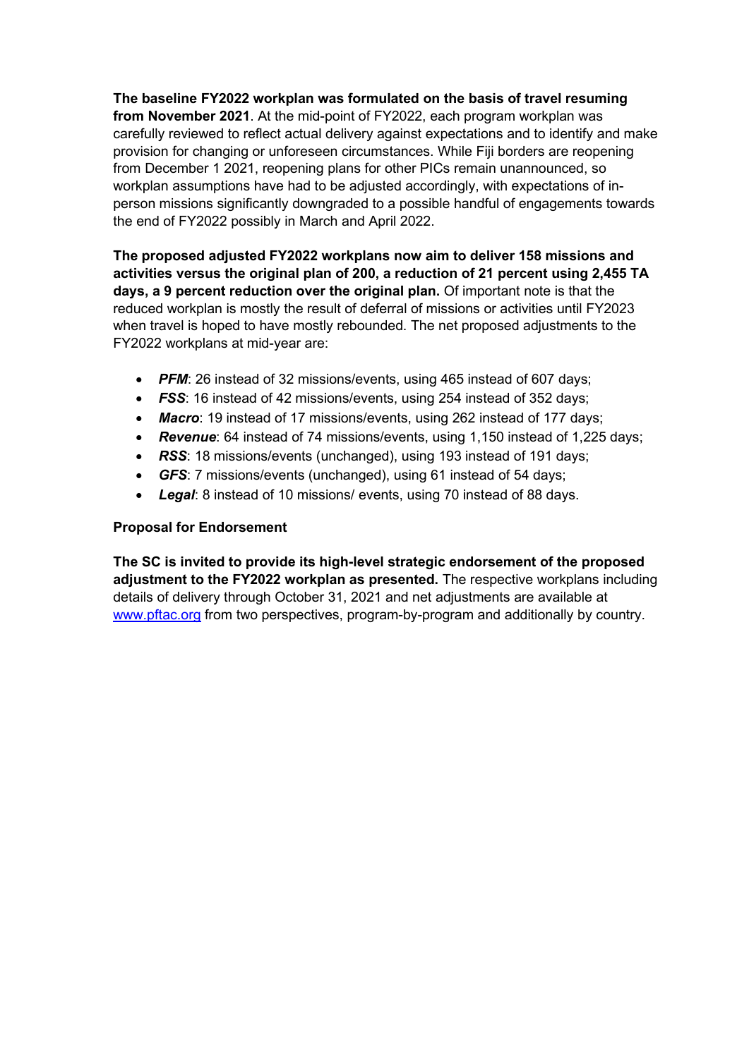**The baseline FY2022 workplan was formulated on the basis of travel resuming from November 2021**. At the mid-point of FY2022, each program workplan was carefully reviewed to reflect actual delivery against expectations and to identify and make provision for changing or unforeseen circumstances. While Fiji borders are reopening from December 1 2021, reopening plans for other PICs remain unannounced, so workplan assumptions have had to be adjusted accordingly, with expectations of inperson missions significantly downgraded to a possible handful of engagements towards the end of FY2022 possibly in March and April 2022.

**The proposed adjusted FY2022 workplans now aim to deliver 158 missions and activities versus the original plan of 200, a reduction of 21 percent using 2,455 TA days, a 9 percent reduction over the original plan.** Of important note is that the reduced workplan is mostly the result of deferral of missions or activities until FY2023 when travel is hoped to have mostly rebounded. The net proposed adjustments to the FY2022 workplans at mid-year are:

- **PFM:** 26 instead of 32 missions/events, using 465 instead of 607 days;
- *FSS*: 16 instead of 42 missions/events, using 254 instead of 352 days;
- *Macro*: 19 instead of 17 missions/events, using 262 instead of 177 days;
- *Revenue*: 64 instead of 74 missions/events, using 1,150 instead of 1,225 days;
- *RSS*: 18 missions/events (unchanged), using 193 instead of 191 days;
- *GFS*: 7 missions/events (unchanged), using 61 instead of 54 days;
- *Legal*: 8 instead of 10 missions/ events, using 70 instead of 88 days.

## **Proposal for Endorsement**

**The SC is invited to provide its high-level strategic endorsement of the proposed adjustment to the FY2022 workplan as presented.** The respective workplans including details of delivery through October 31, 2021 and net adjustments are available at [www.pftac.org](http://www.pftac.org/) from two perspectives, program-by-program and additionally by country.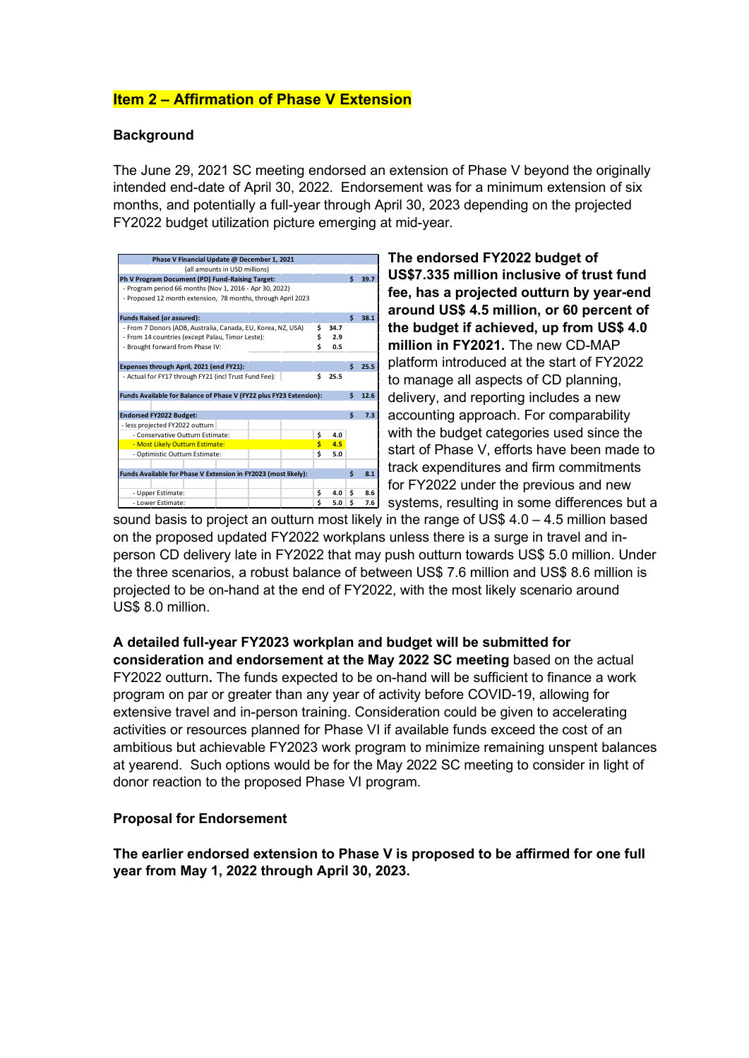# **Item 2 – Affirmation of Phase V Extension**

### **Background**

The June 29, 2021 SC meeting endorsed an extension of Phase V beyond the originally intended end-date of April 30, 2022. Endorsement was for a minimum extension of six months, and potentially a full-year through April 30, 2023 depending on the projected FY2022 budget utilization picture emerging at mid-year.

| Phase V Financial Update @ December 1, 2021                                |         |     |      |      |  |  |  |
|----------------------------------------------------------------------------|---------|-----|------|------|--|--|--|
| (all amounts in USD millions)                                              |         |     |      |      |  |  |  |
| Ph V Program Document (PD) Fund-Raising Target:                            |         | Ś   | 39.7 |      |  |  |  |
| - Program period 66 months (Nov 1, 2016 - Apr 30, 2022)                    |         |     |      |      |  |  |  |
| - Proposed 12 month extension, 78 months, through April 2023               |         |     |      |      |  |  |  |
| <b>Funds Raised (or assured):</b>                                          |         |     |      |      |  |  |  |
| \$<br>- From 7 Donors (ADB, Australia, Canada, EU, Korea, NZ, USA)<br>34.7 |         |     |      |      |  |  |  |
| - From 14 countries (except Palau, Timor Leste):                           | \$      | 2.9 |      |      |  |  |  |
| - Brought forward from Phase IV:                                           | Ś       | 0.5 |      |      |  |  |  |
|                                                                            |         |     |      |      |  |  |  |
| Expenses through April, 2021 (end FY21):                                   |         |     | Ś    | 25.5 |  |  |  |
| \$<br>- Actual for FY17 through FY21 (incl Trust Fund Fee):<br>25.5        |         |     |      |      |  |  |  |
| Funds Available for Balance of Phase V (FY22 plus FY23 Extension):         |         |     | \$   | 12.6 |  |  |  |
|                                                                            |         |     |      |      |  |  |  |
| <b>Endorsed FY2022 Budget:</b>                                             |         |     | Ś    | 7.3  |  |  |  |
| - less projected FY2022 outturn                                            |         |     |      |      |  |  |  |
| - Conservative Outturn Estimate:                                           | \$      | 4.0 |      |      |  |  |  |
| - Most Likely Outturn Estimate:                                            | Ś<br>\$ | 4.5 |      |      |  |  |  |
| - Optimistic Outturn Estimate:                                             | 5.0     |     |      |      |  |  |  |
|                                                                            |         |     |      |      |  |  |  |
| Funds Available for Phase V Extension in FY2023 (most likely):             |         |     | Ś    | 8.1  |  |  |  |
| - Upper Estimate:                                                          | \$      | 4.0 | \$   | 8.6  |  |  |  |
| - Lower Estimate:                                                          | 5.0     | Ś   | 7.6  |      |  |  |  |

**The endorsed FY2022 budget of US\$7.335 million inclusive of trust fund fee, has a projected outturn by year-end around US\$ 4.5 million, or 60 percent of the budget if achieved, up from US\$ 4.0 million in FY2021.** The new CD-MAP platform introduced at the start of FY2022 to manage all aspects of CD planning, delivery, and reporting includes a new accounting approach. For comparability with the budget categories used since the start of Phase V, efforts have been made to track expenditures and firm commitments for FY2022 under the previous and new systems, resulting in some differences but a

sound basis to project an outturn most likely in the range of US\$  $4.0 - 4.5$  million based on the proposed updated FY2022 workplans unless there is a surge in travel and inperson CD delivery late in FY2022 that may push outturn towards US\$ 5.0 million. Under the three scenarios, a robust balance of between US\$ 7.6 million and US\$ 8.6 million is projected to be on-hand at the end of FY2022, with the most likely scenario around US\$ 8.0 million.

**A detailed full-year FY2023 workplan and budget will be submitted for consideration and endorsement at the May 2022 SC meeting** based on the actual FY2022 outturn**.** The funds expected to be on-hand will be sufficient to finance a work program on par or greater than any year of activity before COVID-19, allowing for extensive travel and in-person training. Consideration could be given to accelerating activities or resources planned for Phase VI if available funds exceed the cost of an ambitious but achievable FY2023 work program to minimize remaining unspent balances at yearend. Such options would be for the May 2022 SC meeting to consider in light of donor reaction to the proposed Phase VI program.

### **Proposal for Endorsement**

**The earlier endorsed extension to Phase V is proposed to be affirmed for one full year from May 1, 2022 through April 30, 2023.**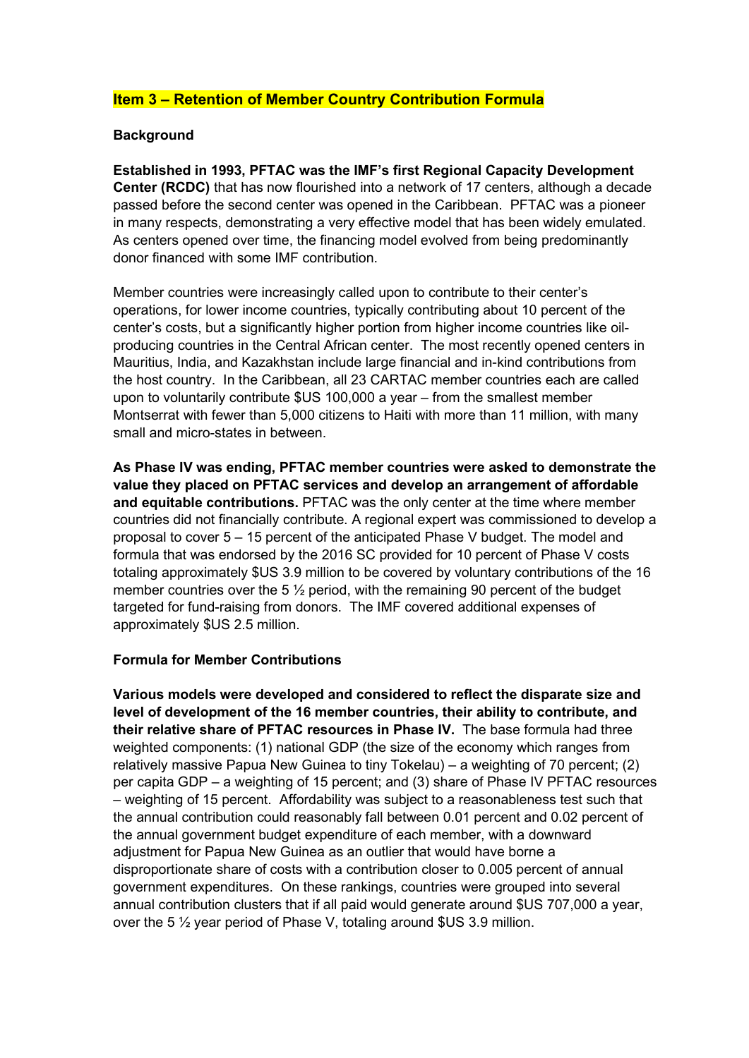# **Item 3 – Retention of Member Country Contribution Formula**

### **Background**

**Established in 1993, PFTAC was the IMF's first Regional Capacity Development Center (RCDC)** that has now flourished into a network of 17 centers, although a decade passed before the second center was opened in the Caribbean. PFTAC was a pioneer in many respects, demonstrating a very effective model that has been widely emulated. As centers opened over time, the financing model evolved from being predominantly donor financed with some IMF contribution.

Member countries were increasingly called upon to contribute to their center's operations, for lower income countries, typically contributing about 10 percent of the center's costs, but a significantly higher portion from higher income countries like oilproducing countries in the Central African center. The most recently opened centers in Mauritius, India, and Kazakhstan include large financial and in-kind contributions from the host country. In the Caribbean, all 23 CARTAC member countries each are called upon to voluntarily contribute \$US 100,000 a year – from the smallest member Montserrat with fewer than 5,000 citizens to Haiti with more than 11 million, with many small and micro-states in between.

**As Phase IV was ending, PFTAC member countries were asked to demonstrate the value they placed on PFTAC services and develop an arrangement of affordable and equitable contributions.** PFTAC was the only center at the time where member countries did not financially contribute. A regional expert was commissioned to develop a proposal to cover 5 – 15 percent of the anticipated Phase V budget. The model and formula that was endorsed by the 2016 SC provided for 10 percent of Phase V costs totaling approximately \$US 3.9 million to be covered by voluntary contributions of the 16 member countries over the 5  $\frac{1}{2}$  period, with the remaining 90 percent of the budget targeted for fund-raising from donors. The IMF covered additional expenses of approximately \$US 2.5 million.

### **Formula for Member Contributions**

**Various models were developed and considered to reflect the disparate size and level of development of the 16 member countries, their ability to contribute, and their relative share of PFTAC resources in Phase IV.** The base formula had three weighted components: (1) national GDP (the size of the economy which ranges from relatively massive Papua New Guinea to tiny Tokelau) – a weighting of 70 percent; (2) per capita GDP – a weighting of 15 percent; and (3) share of Phase IV PFTAC resources – weighting of 15 percent. Affordability was subject to a reasonableness test such that the annual contribution could reasonably fall between 0.01 percent and 0.02 percent of the annual government budget expenditure of each member, with a downward adjustment for Papua New Guinea as an outlier that would have borne a disproportionate share of costs with a contribution closer to 0.005 percent of annual government expenditures. On these rankings, countries were grouped into several annual contribution clusters that if all paid would generate around \$US 707,000 a year, over the 5 ½ year period of Phase V, totaling around \$US 3.9 million.